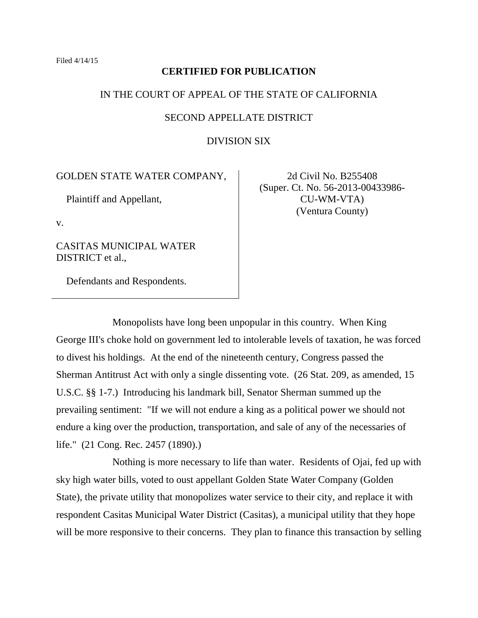## **CERTIFIED FOR PUBLICATION**

## IN THE COURT OF APPEAL OF THE STATE OF CALIFORNIA

## SECOND APPELLATE DISTRICT

## DIVISION SIX

# GOLDEN STATE WATER COMPANY,

Plaintiff and Appellant,

v.

CASITAS MUNICIPAL WATER DISTRICT et al.,

Defendants and Respondents.

2d Civil No. B255408 (Super. Ct. No. 56-2013-00433986- CU-WM-VTA) (Ventura County)

Monopolists have long been unpopular in this country. When King George III's choke hold on government led to intolerable levels of taxation, he was forced to divest his holdings. At the end of the nineteenth century, Congress passed the Sherman Antitrust Act with only a single dissenting vote. (26 Stat. 209, as amended, 15 U.S.C. §§ 1-7.) Introducing his landmark bill, Senator Sherman summed up the prevailing sentiment: "If we will not endure a king as a political power we should not endure a king over the production, transportation, and sale of any of the necessaries of life." (21 Cong. Rec. 2457 (1890).)

Nothing is more necessary to life than water. Residents of Ojai, fed up with sky high water bills, voted to oust appellant Golden State Water Company (Golden State), the private utility that monopolizes water service to their city, and replace it with respondent Casitas Municipal Water District (Casitas), a municipal utility that they hope will be more responsive to their concerns. They plan to finance this transaction by selling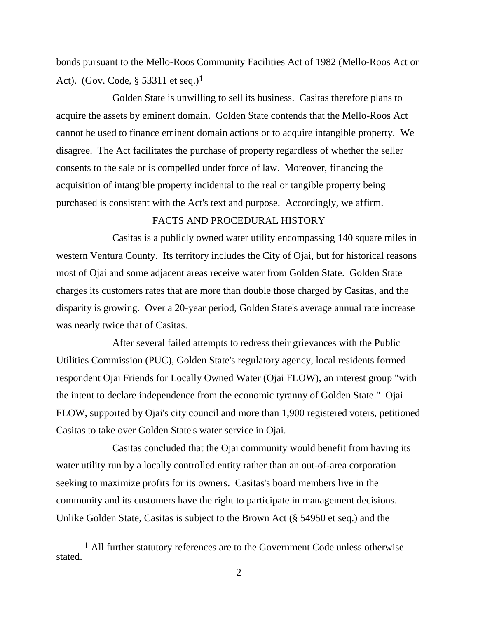bonds pursuant to the Mello-Roos Community Facilities Act of 1982 (Mello-Roos Act or Act). (Gov. Code, § 53311 et seq.) **1**

Golden State is unwilling to sell its business. Casitas therefore plans to acquire the assets by eminent domain. Golden State contends that the Mello-Roos Act cannot be used to finance eminent domain actions or to acquire intangible property. We disagree. The Act facilitates the purchase of property regardless of whether the seller consents to the sale or is compelled under force of law. Moreover, financing the acquisition of intangible property incidental to the real or tangible property being purchased is consistent with the Act's text and purpose. Accordingly, we affirm.

# FACTS AND PROCEDURAL HISTORY

Casitas is a publicly owned water utility encompassing 140 square miles in western Ventura County. Its territory includes the City of Ojai, but for historical reasons most of Ojai and some adjacent areas receive water from Golden State. Golden State charges its customers rates that are more than double those charged by Casitas, and the disparity is growing. Over a 20-year period, Golden State's average annual rate increase was nearly twice that of Casitas.

After several failed attempts to redress their grievances with the Public Utilities Commission (PUC), Golden State's regulatory agency, local residents formed respondent Ojai Friends for Locally Owned Water (Ojai FLOW), an interest group "with the intent to declare independence from the economic tyranny of Golden State." Ojai FLOW, supported by Ojai's city council and more than 1,900 registered voters, petitioned Casitas to take over Golden State's water service in Ojai.

Casitas concluded that the Ojai community would benefit from having its water utility run by a locally controlled entity rather than an out-of-area corporation seeking to maximize profits for its owners. Casitas's board members live in the community and its customers have the right to participate in management decisions. Unlike Golden State, Casitas is subject to the Brown Act (§ 54950 et seq.) and the

**<sup>1</sup>** All further statutory references are to the Government Code unless otherwise stated.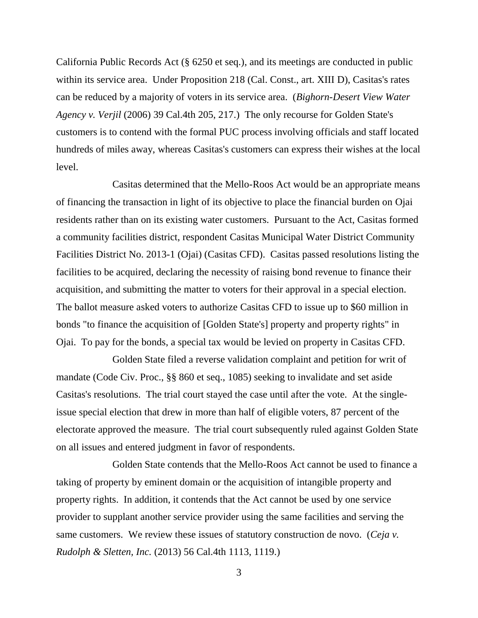California Public Records Act (§ 6250 et seq.), and its meetings are conducted in public within its service area. Under Proposition 218 (Cal. Const., art. XIII D), Casitas's rates can be reduced by a majority of voters in its service area. (*Bighorn-Desert View Water Agency v. Verjil* (2006) 39 Cal.4th 205, 217.) The only recourse for Golden State's customers is to contend with the formal PUC process involving officials and staff located hundreds of miles away, whereas Casitas's customers can express their wishes at the local level.

Casitas determined that the Mello-Roos Act would be an appropriate means of financing the transaction in light of its objective to place the financial burden on Ojai residents rather than on its existing water customers. Pursuant to the Act, Casitas formed a community facilities district, respondent Casitas Municipal Water District Community Facilities District No. 2013-1 (Ojai) (Casitas CFD). Casitas passed resolutions listing the facilities to be acquired, declaring the necessity of raising bond revenue to finance their acquisition, and submitting the matter to voters for their approval in a special election. The ballot measure asked voters to authorize Casitas CFD to issue up to \$60 million in bonds "to finance the acquisition of [Golden State's] property and property rights" in Ojai. To pay for the bonds, a special tax would be levied on property in Casitas CFD.

Golden State filed a reverse validation complaint and petition for writ of mandate (Code Civ. Proc., §§ 860 et seq., 1085) seeking to invalidate and set aside Casitas's resolutions. The trial court stayed the case until after the vote. At the singleissue special election that drew in more than half of eligible voters, 87 percent of the electorate approved the measure. The trial court subsequently ruled against Golden State on all issues and entered judgment in favor of respondents.

Golden State contends that the Mello-Roos Act cannot be used to finance a taking of property by eminent domain or the acquisition of intangible property and property rights. In addition, it contends that the Act cannot be used by one service provider to supplant another service provider using the same facilities and serving the same customers. We review these issues of statutory construction de novo. (*Ceja v. Rudolph & Sletten, Inc.* (2013) 56 Cal.4th 1113, 1119.)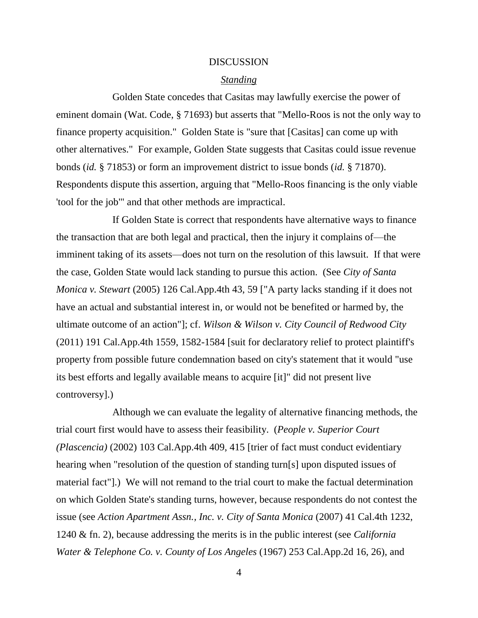#### DISCUSSION

#### *Standing*

Golden State concedes that Casitas may lawfully exercise the power of eminent domain (Wat. Code, § 71693) but asserts that "Mello-Roos is not the only way to finance property acquisition." Golden State is "sure that [Casitas] can come up with other alternatives." For example, Golden State suggests that Casitas could issue revenue bonds (*id.* § 71853) or form an improvement district to issue bonds (*id.* § 71870). Respondents dispute this assertion, arguing that "Mello-Roos financing is the only viable 'tool for the job'" and that other methods are impractical.

If Golden State is correct that respondents have alternative ways to finance the transaction that are both legal and practical, then the injury it complains of—the imminent taking of its assets—does not turn on the resolution of this lawsuit. If that were the case, Golden State would lack standing to pursue this action. (See *City of Santa Monica v. Stewart* (2005) 126 Cal.App.4th 43, 59 ["A party lacks standing if it does not have an actual and substantial interest in, or would not be benefited or harmed by, the ultimate outcome of an action"]; cf. *Wilson & Wilson v. City Council of Redwood City* (2011) 191 Cal.App.4th 1559, 1582-1584 [suit for declaratory relief to protect plaintiff's property from possible future condemnation based on city's statement that it would "use its best efforts and legally available means to acquire [it]" did not present live controversy].)

Although we can evaluate the legality of alternative financing methods, the trial court first would have to assess their feasibility. (*People v. Superior Court (Plascencia)* (2002) 103 Cal.App.4th 409, 415 [trier of fact must conduct evidentiary hearing when "resolution of the question of standing turn[s] upon disputed issues of material fact"].) We will not remand to the trial court to make the factual determination on which Golden State's standing turns, however, because respondents do not contest the issue (see *Action Apartment Assn., Inc. v. City of Santa Monica* (2007) 41 Cal.4th 1232, 1240 & fn. 2), because addressing the merits is in the public interest (see *California Water & Telephone Co. v. County of Los Angeles* (1967) 253 Cal.App.2d 16, 26), and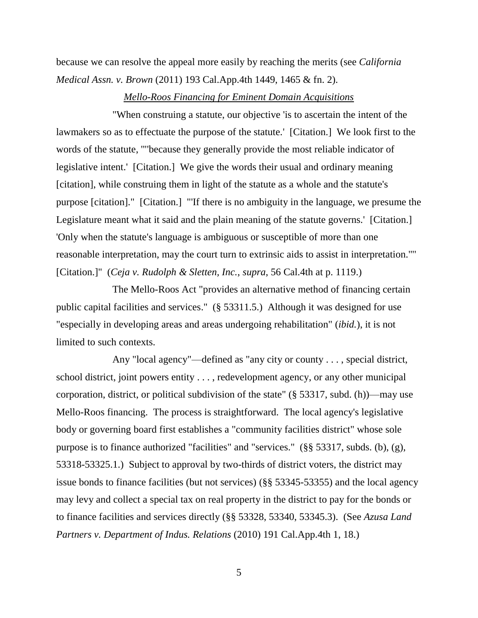because we can resolve the appeal more easily by reaching the merits (see *California Medical Assn. v. Brown* (2011) 193 Cal.App.4th 1449, 1465 & fn. 2).

### *Mello-Roos Financing for Eminent Domain Acquisitions*

"When construing a statute, our objective 'is to ascertain the intent of the lawmakers so as to effectuate the purpose of the statute.' [Citation.] We look first to the words of the statute, '"'because they generally provide the most reliable indicator of legislative intent.' [Citation.] We give the words their usual and ordinary meaning [citation], while construing them in light of the statute as a whole and the statute's purpose [citation]." [Citation.] "'If there is no ambiguity in the language, we presume the Legislature meant what it said and the plain meaning of the statute governs.' [Citation.] 'Only when the statute's language is ambiguous or susceptible of more than one reasonable interpretation, may the court turn to extrinsic aids to assist in interpretation.'"' [Citation.]" (*Ceja v. Rudolph & Sletten, Inc.*, *supra*, 56 Cal.4th at p. 1119.)

The Mello-Roos Act "provides an alternative method of financing certain public capital facilities and services." (§ 53311.5.) Although it was designed for use "especially in developing areas and areas undergoing rehabilitation" (*ibid.*), it is not limited to such contexts.

Any "local agency"—defined as "any city or county . . . , special district, school district, joint powers entity . . . , redevelopment agency, or any other municipal corporation, district, or political subdivision of the state" (§ 53317, subd. (h))—may use Mello-Roos financing. The process is straightforward. The local agency's legislative body or governing board first establishes a "community facilities district" whose sole purpose is to finance authorized "facilities" and "services." (§§ 53317, subds. (b), (g), 53318-53325.1.) Subject to approval by two-thirds of district voters, the district may issue bonds to finance facilities (but not services) (§§ 53345-53355) and the local agency may levy and collect a special tax on real property in the district to pay for the bonds or to finance facilities and services directly (§§ 53328, 53340, 53345.3). (See *Azusa Land Partners v. Department of Indus. Relations* (2010) 191 Cal.App.4th 1, 18.)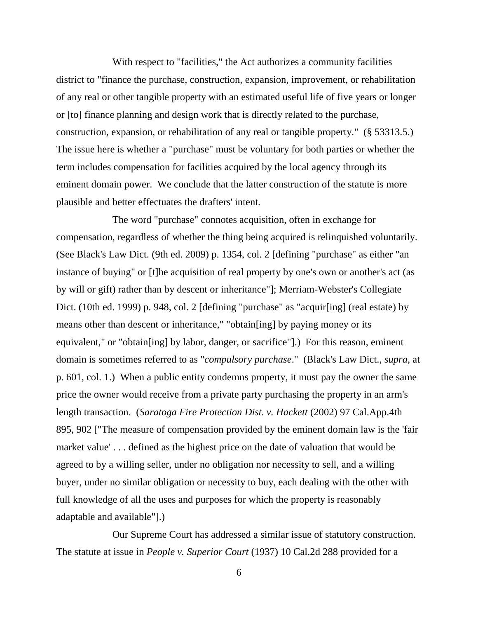With respect to "facilities," the Act authorizes a community facilities district to "finance the purchase, construction, expansion, improvement, or rehabilitation of any real or other tangible property with an estimated useful life of five years or longer or [to] finance planning and design work that is directly related to the purchase, construction, expansion, or rehabilitation of any real or tangible property." (§ 53313.5.) The issue here is whether a "purchase" must be voluntary for both parties or whether the term includes compensation for facilities acquired by the local agency through its eminent domain power. We conclude that the latter construction of the statute is more plausible and better effectuates the drafters' intent.

The word "purchase" connotes acquisition, often in exchange for compensation, regardless of whether the thing being acquired is relinquished voluntarily. (See Black's Law Dict. (9th ed. 2009) p. 1354, col. 2 [defining "purchase" as either "an instance of buying" or [t]he acquisition of real property by one's own or another's act (as by will or gift) rather than by descent or inheritance"]; Merriam-Webster's Collegiate Dict. (10th ed. 1999) p. 948, col. 2 [defining "purchase" as "acquir[ing] (real estate) by means other than descent or inheritance," "obtain[ing] by paying money or its equivalent," or "obtain[ing] by labor, danger, or sacrifice"].) For this reason, eminent domain is sometimes referred to as "*compulsory purchase*." (Black's Law Dict., *supra*, at p. 601, col. 1.) When a public entity condemns property, it must pay the owner the same price the owner would receive from a private party purchasing the property in an arm's length transaction. (*Saratoga Fire Protection Dist. v. Hackett* (2002) 97 Cal.App.4th 895, 902 ["The measure of compensation provided by the eminent domain law is the 'fair market value'... defined as the highest price on the date of valuation that would be agreed to by a willing seller, under no obligation nor necessity to sell, and a willing buyer, under no similar obligation or necessity to buy, each dealing with the other with full knowledge of all the uses and purposes for which the property is reasonably adaptable and available"].)

Our Supreme Court has addressed a similar issue of statutory construction. The statute at issue in *People v. Superior Court* (1937) 10 Cal.2d 288 provided for a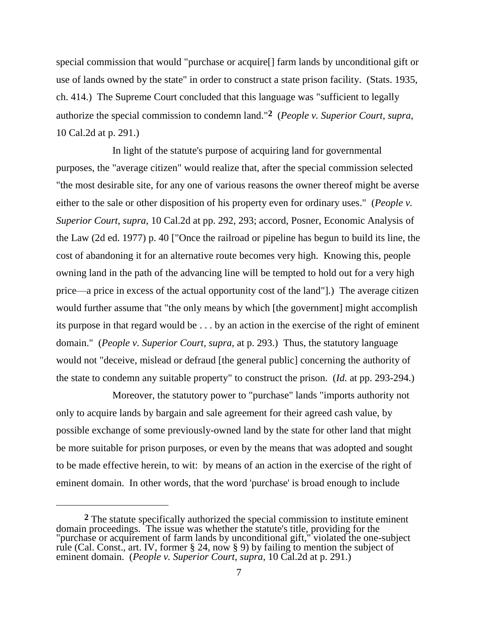special commission that would "purchase or acquire[] farm lands by unconditional gift or use of lands owned by the state" in order to construct a state prison facility. (Stats. 1935, ch. 414.) The Supreme Court concluded that this language was "sufficient to legally authorize the special commission to condemn land." **2** (*People v. Superior Court*, *supra*, 10 Cal.2d at p. 291.)

In light of the statute's purpose of acquiring land for governmental purposes, the "average citizen" would realize that, after the special commission selected "the most desirable site, for any one of various reasons the owner thereof might be averse either to the sale or other disposition of his property even for ordinary uses." (*People v. Superior Court, supra*, 10 Cal.2d at pp. 292, 293; accord, Posner, Economic Analysis of the Law (2d ed. 1977) p. 40 ["Once the railroad or pipeline has begun to build its line, the cost of abandoning it for an alternative route becomes very high. Knowing this, people owning land in the path of the advancing line will be tempted to hold out for a very high price—a price in excess of the actual opportunity cost of the land"].) The average citizen would further assume that "the only means by which [the government] might accomplish its purpose in that regard would be . . . by an action in the exercise of the right of eminent domain." (*People v. Superior Court, supra,* at p. 293.) Thus, the statutory language would not "deceive, mislead or defraud [the general public] concerning the authority of the state to condemn any suitable property" to construct the prison. (*Id.* at pp. 293-294.)

Moreover, the statutory power to "purchase" lands "imports authority not only to acquire lands by bargain and sale agreement for their agreed cash value, by possible exchange of some previously-owned land by the state for other land that might be more suitable for prison purposes, or even by the means that was adopted and sought to be made effective herein, to wit: by means of an action in the exercise of the right of eminent domain. In other words, that the word 'purchase' is broad enough to include

**<sup>2</sup>** The statute specifically authorized the special commission to institute eminent domain proceedings. The issue was whether the statute's title, providing for the "purchase or acquirement of farm lands by unconditional gift," violated the one-subject rule (Cal. Const., art. IV, former § 24, now § 9) by failing to mention the subject of eminent domain. (*People v. Superior Court*, *supra*, 10 Cal.2d at p. 291.)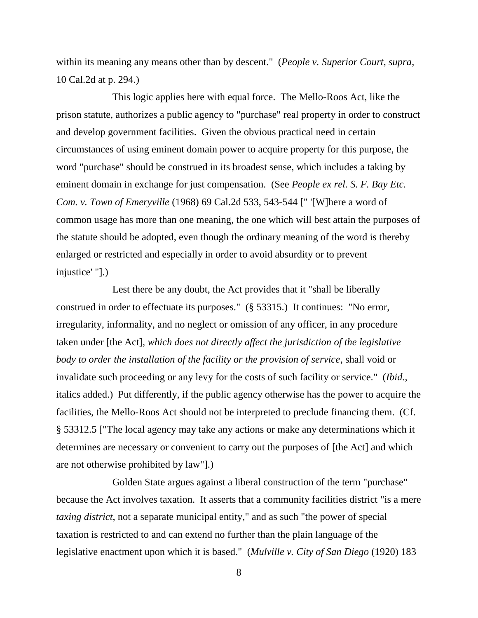within its meaning any means other than by descent." (*People v. Superior Court*, *supra*, 10 Cal.2d at p. 294.)

This logic applies here with equal force. The Mello-Roos Act, like the prison statute, authorizes a public agency to "purchase" real property in order to construct and develop government facilities. Given the obvious practical need in certain circumstances of using eminent domain power to acquire property for this purpose, the word "purchase" should be construed in its broadest sense, which includes a taking by eminent domain in exchange for just compensation. (See *People ex rel. S. F. Bay Etc. Com. v. Town of Emeryville* (1968) 69 Cal.2d 533, 543-544 [" '[W]here a word of common usage has more than one meaning, the one which will best attain the purposes of the statute should be adopted, even though the ordinary meaning of the word is thereby enlarged or restricted and especially in order to avoid absurdity or to prevent injustice' "].)

Lest there be any doubt, the Act provides that it "shall be liberally construed in order to effectuate its purposes." (§ 53315.) It continues: "No error, irregularity, informality, and no neglect or omission of any officer, in any procedure taken under [the Act], *which does not directly affect the jurisdiction of the legislative body to order the installation of the facility or the provision of service*, shall void or invalidate such proceeding or any levy for the costs of such facility or service." (*Ibid.*, italics added.) Put differently, if the public agency otherwise has the power to acquire the facilities, the Mello-Roos Act should not be interpreted to preclude financing them. (Cf. § 53312.5 ["The local agency may take any actions or make any determinations which it determines are necessary or convenient to carry out the purposes of [the Act] and which are not otherwise prohibited by law"].)

Golden State argues against a liberal construction of the term "purchase" because the Act involves taxation. It asserts that a community facilities district "is a mere *taxing district*, not a separate municipal entity," and as such "the power of special taxation is restricted to and can extend no further than the plain language of the legislative enactment upon which it is based." (*Mulville v. City of San Diego* (1920) 183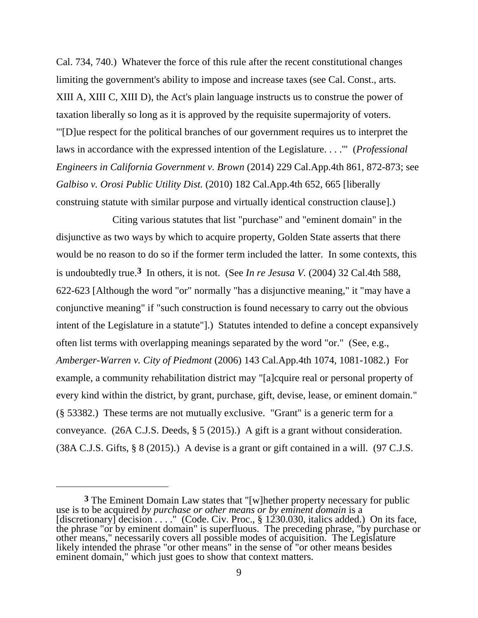Cal. 734, 740.) Whatever the force of this rule after the recent constitutional changes limiting the government's ability to impose and increase taxes (see Cal. Const., arts. XIII A, XIII C, XIII D), the Act's plain language instructs us to construe the power of taxation liberally so long as it is approved by the requisite supermajority of voters. "'[D]ue respect for the political branches of our government requires us to interpret the laws in accordance with the expressed intention of the Legislature. . . .'" (*Professional Engineers in California Government v. Brown* (2014) 229 Cal.App.4th 861, 872-873; see *Galbiso v. Orosi Public Utility Dist.* (2010) 182 Cal.App.4th 652, 665 [liberally construing statute with similar purpose and virtually identical construction clause].)

Citing various statutes that list "purchase" and "eminent domain" in the disjunctive as two ways by which to acquire property, Golden State asserts that there would be no reason to do so if the former term included the latter. In some contexts, this is undoubtedly true.**3** In others, it is not. (See *In re Jesusa V.* (2004) 32 Cal.4th 588, 622-623 [Although the word "or" normally "has a disjunctive meaning," it "may have a conjunctive meaning" if "such construction is found necessary to carry out the obvious intent of the Legislature in a statute"].) Statutes intended to define a concept expansively often list terms with overlapping meanings separated by the word "or." (See, e.g., *Amberger-Warren v. City of Piedmont* (2006) 143 Cal.App.4th 1074, 1081-1082.) For example, a community rehabilitation district may "[a]cquire real or personal property of every kind within the district, by grant, purchase, gift, devise, lease, or eminent domain." (§ 53382.) These terms are not mutually exclusive. "Grant" is a generic term for a conveyance. (26A C.J.S. Deeds, § 5 (2015).) A gift is a grant without consideration. (38A C.J.S. Gifts, § 8 (2015).) A devise is a grant or gift contained in a will. (97 C.J.S.

**<sup>3</sup>** The Eminent Domain Law states that "[w]hether property necessary for public use is to be acquired *by purchase or other means or by eminent domain* is a [discretionary] decision . . . " (Code. Civ. Proc., § 1230.030, italics added.) On its face, the phrase "or by eminent domain" is superfluous. The preceding phrase, "by purchase or other means," necessarily covers all possible modes of acquisition. The Legislature likely intended the phrase "or other means" in the sense of "or other means besides eminent domain," which just goes to show that context matters.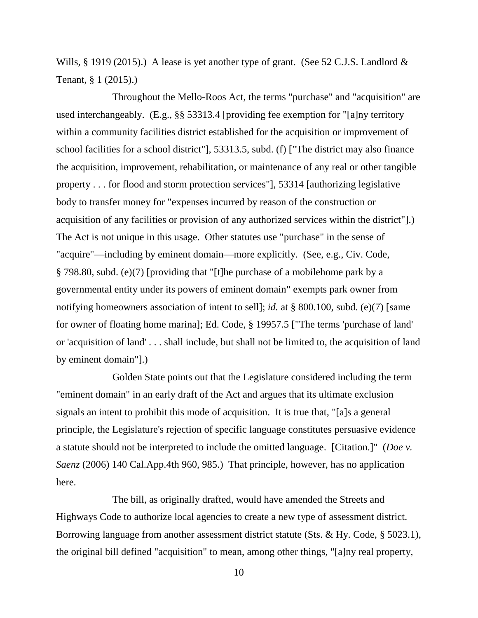Wills, § 1919 (2015).) A lease is yet another type of grant. (See 52 C.J.S. Landlord & Tenant, § 1 (2015).)

Throughout the Mello-Roos Act, the terms "purchase" and "acquisition" are used interchangeably. (E.g., §§ 53313.4 [providing fee exemption for "[a]ny territory within a community facilities district established for the acquisition or improvement of school facilities for a school district"], 53313.5, subd. (f) ["The district may also finance the acquisition, improvement, rehabilitation, or maintenance of any real or other tangible property . . . for flood and storm protection services"], 53314 [authorizing legislative body to transfer money for "expenses incurred by reason of the construction or acquisition of any facilities or provision of any authorized services within the district"].) The Act is not unique in this usage. Other statutes use "purchase" in the sense of "acquire"—including by eminent domain—more explicitly. (See, e.g., Civ. Code, § 798.80, subd. (e)(7) [providing that "[t]he purchase of a mobilehome park by a governmental entity under its powers of eminent domain" exempts park owner from notifying homeowners association of intent to sell]; *id.* at § 800.100, subd. (e)(7) [same for owner of floating home marina]; Ed. Code, § 19957.5 ["The terms 'purchase of land' or 'acquisition of land' . . . shall include, but shall not be limited to, the acquisition of land by eminent domain"].)

Golden State points out that the Legislature considered including the term "eminent domain" in an early draft of the Act and argues that its ultimate exclusion signals an intent to prohibit this mode of acquisition. It is true that, "[a]s a general principle, the Legislature's rejection of specific language constitutes persuasive evidence a statute should not be interpreted to include the omitted language. [Citation.]" (*Doe v. Saenz* (2006) 140 Cal.App.4th 960, 985.) That principle, however, has no application here.

The bill, as originally drafted, would have amended the Streets and Highways Code to authorize local agencies to create a new type of assessment district. Borrowing language from another assessment district statute (Sts. & Hy. Code, § 5023.1), the original bill defined "acquisition" to mean, among other things, "[a]ny real property,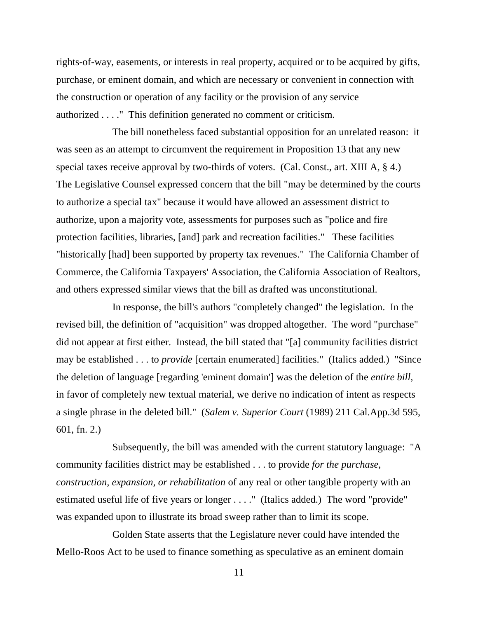rights-of-way, easements, or interests in real property, acquired or to be acquired by gifts, purchase, or eminent domain, and which are necessary or convenient in connection with the construction or operation of any facility or the provision of any service authorized . . . ." This definition generated no comment or criticism.

The bill nonetheless faced substantial opposition for an unrelated reason: it was seen as an attempt to circumvent the requirement in Proposition 13 that any new special taxes receive approval by two-thirds of voters. (Cal. Const., art. XIII A, § 4.) The Legislative Counsel expressed concern that the bill "may be determined by the courts to authorize a special tax" because it would have allowed an assessment district to authorize, upon a majority vote, assessments for purposes such as "police and fire protection facilities, libraries, [and] park and recreation facilities." These facilities "historically [had] been supported by property tax revenues." The California Chamber of Commerce, the California Taxpayers' Association, the California Association of Realtors, and others expressed similar views that the bill as drafted was unconstitutional.

In response, the bill's authors "completely changed" the legislation. In the revised bill, the definition of "acquisition" was dropped altogether. The word "purchase" did not appear at first either. Instead, the bill stated that "[a] community facilities district may be established . . . to *provide* [certain enumerated] facilities." (Italics added.) "Since the deletion of language [regarding 'eminent domain'] was the deletion of the *entire bill*, in favor of completely new textual material, we derive no indication of intent as respects a single phrase in the deleted bill." (*Salem v. Superior Court* (1989) 211 Cal.App.3d 595, 601, fn. 2.)

Subsequently, the bill was amended with the current statutory language: "A community facilities district may be established . . . to provide *for the purchase, construction, expansion, or rehabilitation* of any real or other tangible property with an estimated useful life of five years or longer . . . ." (Italics added.) The word "provide" was expanded upon to illustrate its broad sweep rather than to limit its scope.

Golden State asserts that the Legislature never could have intended the Mello-Roos Act to be used to finance something as speculative as an eminent domain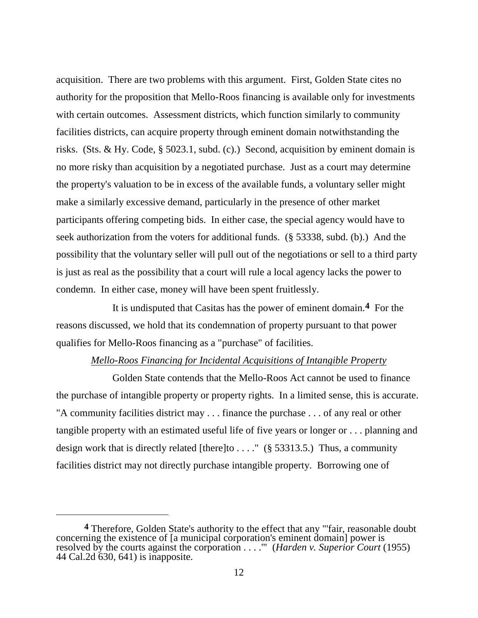acquisition. There are two problems with this argument. First, Golden State cites no authority for the proposition that Mello-Roos financing is available only for investments with certain outcomes. Assessment districts, which function similarly to community facilities districts, can acquire property through eminent domain notwithstanding the risks. (Sts. & Hy. Code, § 5023.1, subd. (c).) Second, acquisition by eminent domain is no more risky than acquisition by a negotiated purchase. Just as a court may determine the property's valuation to be in excess of the available funds, a voluntary seller might make a similarly excessive demand, particularly in the presence of other market participants offering competing bids. In either case, the special agency would have to seek authorization from the voters for additional funds. (§ 53338, subd. (b).) And the possibility that the voluntary seller will pull out of the negotiations or sell to a third party is just as real as the possibility that a court will rule a local agency lacks the power to condemn. In either case, money will have been spent fruitlessly.

It is undisputed that Casitas has the power of eminent domain.**4** For the reasons discussed, we hold that its condemnation of property pursuant to that power qualifies for Mello-Roos financing as a "purchase" of facilities.

### *Mello-Roos Financing for Incidental Acquisitions of Intangible Property*

Golden State contends that the Mello-Roos Act cannot be used to finance the purchase of intangible property or property rights. In a limited sense, this is accurate. "A community facilities district may . . . finance the purchase . . . of any real or other tangible property with an estimated useful life of five years or longer or . . . planning and design work that is directly related [there]to . . . ." ( $\S$  53313.5.) Thus, a community facilities district may not directly purchase intangible property. Borrowing one of

**<sup>4</sup>** Therefore, Golden State's authority to the effect that any "'fair, reasonable doubt concerning the existence of [a municipal corporation's eminent domain] power is resolved by the courts against the corporation . . . .'" (*Harden v. Superior Court* (1955) 44 Cal.2d 630, 641) is inapposite.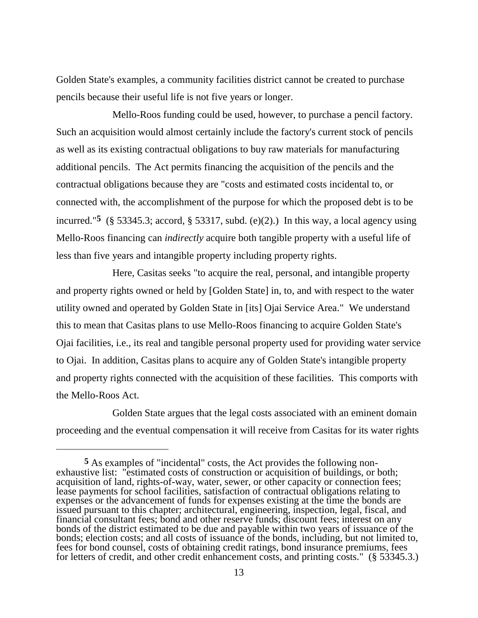Golden State's examples, a community facilities district cannot be created to purchase pencils because their useful life is not five years or longer.

Mello-Roos funding could be used, however, to purchase a pencil factory. Such an acquisition would almost certainly include the factory's current stock of pencils as well as its existing contractual obligations to buy raw materials for manufacturing additional pencils. The Act permits financing the acquisition of the pencils and the contractual obligations because they are "costs and estimated costs incidental to, or connected with, the accomplishment of the purpose for which the proposed debt is to be incurred."<sup>5</sup> (§ 53345.3; accord, § 53317, subd. (e)(2).) In this way, a local agency using Mello-Roos financing can *indirectly* acquire both tangible property with a useful life of less than five years and intangible property including property rights.

Here, Casitas seeks "to acquire the real, personal, and intangible property and property rights owned or held by [Golden State] in, to, and with respect to the water utility owned and operated by Golden State in [its] Ojai Service Area." We understand this to mean that Casitas plans to use Mello-Roos financing to acquire Golden State's Ojai facilities, i.e., its real and tangible personal property used for providing water service to Ojai. In addition, Casitas plans to acquire any of Golden State's intangible property and property rights connected with the acquisition of these facilities. This comports with the Mello-Roos Act.

Golden State argues that the legal costs associated with an eminent domain proceeding and the eventual compensation it will receive from Casitas for its water rights

**<sup>5</sup>** As examples of "incidental" costs, the Act provides the following nonexhaustive list: "estimated costs of construction or acquisition of buildings, or both; acquisition of land, rights-of-way, water, sewer, or other capacity or connection fees; lease payments for school facilities, satisfaction of contractual obligations relating to expenses or the advancement of funds for expenses existing at the time the bonds are issued pursuant to this chapter; architectural, engineering, inspection, legal, fiscal, and financial consultant fees; bond and other reserve funds; discount fees; interest on any bonds of the district estimated to be due and payable within two years of issuance of the bonds; election costs; and all costs of issuance of the bonds, including, but not limited to, fees for bond counsel, costs of obtaining credit ratings, bond insurance premiums, fees for letters of credit, and other credit enhancement costs, and printing costs." (§ 53345.3.)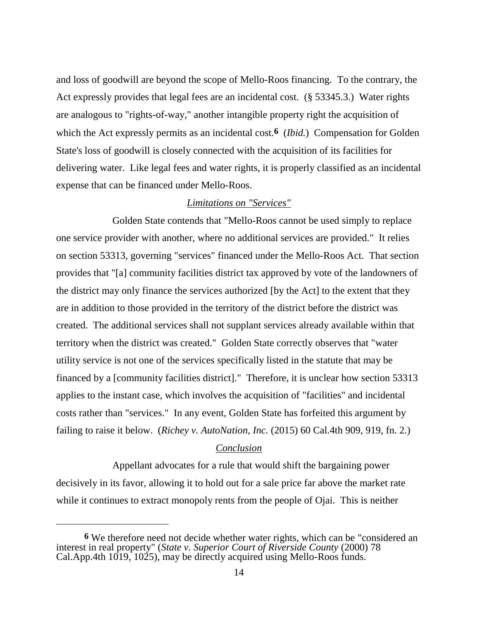and loss of goodwill are beyond the scope of Mello-Roos financing. To the contrary, the Act expressly provides that legal fees are an incidental cost. (§ 53345.3.) Water rights are analogous to "rights-of-way," another intangible property right the acquisition of which the Act expressly permits as an incidental cost.**6** (*Ibid.*) Compensation for Golden State's loss of goodwill is closely connected with the acquisition of its facilities for delivering water. Like legal fees and water rights, it is properly classified as an incidental expense that can be financed under Mello-Roos.

# *Limitations on "Services"*

Golden State contends that "Mello-Roos cannot be used simply to replace one service provider with another, where no additional services are provided." It relies on section 53313, governing "services" financed under the Mello-Roos Act. That section provides that "[a] community facilities district tax approved by vote of the landowners of the district may only finance the services authorized [by the Act] to the extent that they are in addition to those provided in the territory of the district before the district was created. The additional services shall not supplant services already available within that territory when the district was created." Golden State correctly observes that "water utility service is not one of the services specifically listed in the statute that may be financed by a [community facilities district]." Therefore, it is unclear how section 53313 applies to the instant case, which involves the acquisition of "facilities" and incidental costs rather than "services." In any event, Golden State has forfeited this argument by failing to raise it below. (*Richey v. AutoNation, Inc.* (2015) 60 Cal.4th 909, 919, fn. 2.)

## *Conclusion*

Appellant advocates for a rule that would shift the bargaining power decisively in its favor, allowing it to hold out for a sale price far above the market rate while it continues to extract monopoly rents from the people of Ojai. This is neither

**<sup>6</sup>** We therefore need not decide whether water rights, which can be "considered an interest in real property" (*State v. Superior Court of Riverside County* (2000) 78 Cal.App.4th 1019, 1025), may be directly acquired using Mello-Roos funds.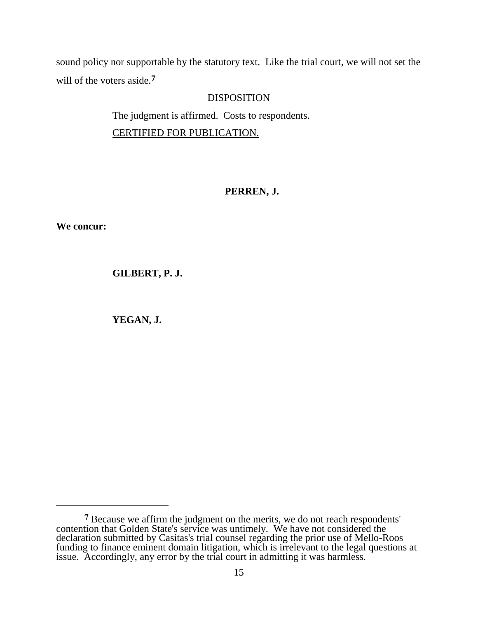sound policy nor supportable by the statutory text. Like the trial court, we will not set the will of the voters aside.**7**

# DISPOSITION

The judgment is affirmed. Costs to respondents. CERTIFIED FOR PUBLICATION.

# **PERREN, J.**

**We concur:**

**GILBERT, P. J.**

**YEGAN, J.**

**<sup>7</sup>** Because we affirm the judgment on the merits, we do not reach respondents' contention that Golden State's service was untimely. We have not considered the declaration submitted by Casitas's trial counsel regarding the prior use of Mello-Roos funding to finance eminent domain litigation, which is irrelevant to the legal questions at issue. Accordingly, any error by the trial court in admitting it was harmless.